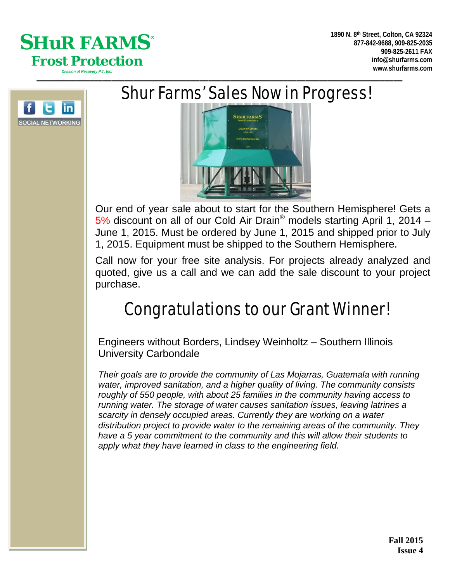



## Shur Farms' Sales Now in Progress!



Our end of year sale about to start for the Southern Hemisphere! Gets a 5% discount on all of our Cold Air Drain® models starting April 1, 2014 – June 1, 2015. Must be ordered by June 1, 2015 and shipped prior to July 1, 2015. Equipment must be shipped to the Southern Hemisphere.

Call now for your free site analysis. For projects already analyzed and quoted, give us a call and we can add the sale discount to your project purchase.

# Congratulations to our Grant Winner!

Engineers without Borders, Lindsey Weinholtz – Southern Illinois University Carbondale

*Their goals are to provide the community of Las Mojarras, Guatemala with running water, improved sanitation, and a higher quality of living. The community consists roughly of 550 people, with about 25 families in the community having access to running water. The storage of water causes sanitation issues, leaving latrines a scarcity in densely occupied areas. Currently they are working on a water distribution project to provide water to the remaining areas of the community. They have a 5 year commitment to the community and this will allow their students to apply what they have learned in class to the engineering field.*